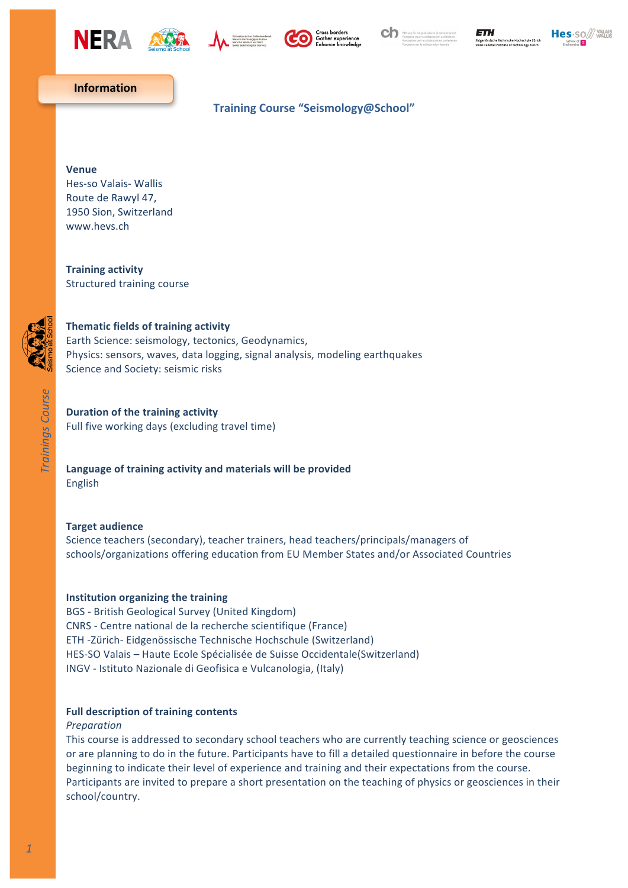









## **Information**

# **Training Course "Seismology@School"**

#### **Venue**

Hes-so Valais- Wallis Route de Rawyl 47, 1950 Sion, Switzerland www.hevs.ch

**Training activity** Structured training course



# **Thematic fields of training activity**

Earth Science: seismology, tectonics, Geodynamics, Physics: sensors, waves, data logging, signal analysis, modeling earthquakes Science and Society: seismic risks

## **Duration of the training activity**

Full five working days (excluding travel time)

## Language of training activity and materials will be provided English

#### **Target audience**

Science teachers (secondary), teacher trainers, head teachers/principals/managers of schools/organizations offering education from EU Member States and/or Associated Countries

#### **Institution organizing the training**

BGS - British Geological Survey (United Kingdom) CNRS - Centre national de la recherche scientifique (France) ETH -Zürich- Eidgenössische Technische Hochschule (Switzerland) HES-SO Valais – Haute Ecole Spécialisée de Suisse Occidentale(Switzerland) INGV - Istituto Nazionale di Geofisica e Vulcanologia, (Italy)

## **Full description of training contents**

#### *Preparation*

This course is addressed to secondary school teachers who are currently teaching science or geosciences or are planning to do in the future. Participants have to fill a detailed questionnaire in before the course beginning to indicate their level of experience and training and their expectations from the course. Participants are invited to prepare a short presentation on the teaching of physics or geosciences in their school/country.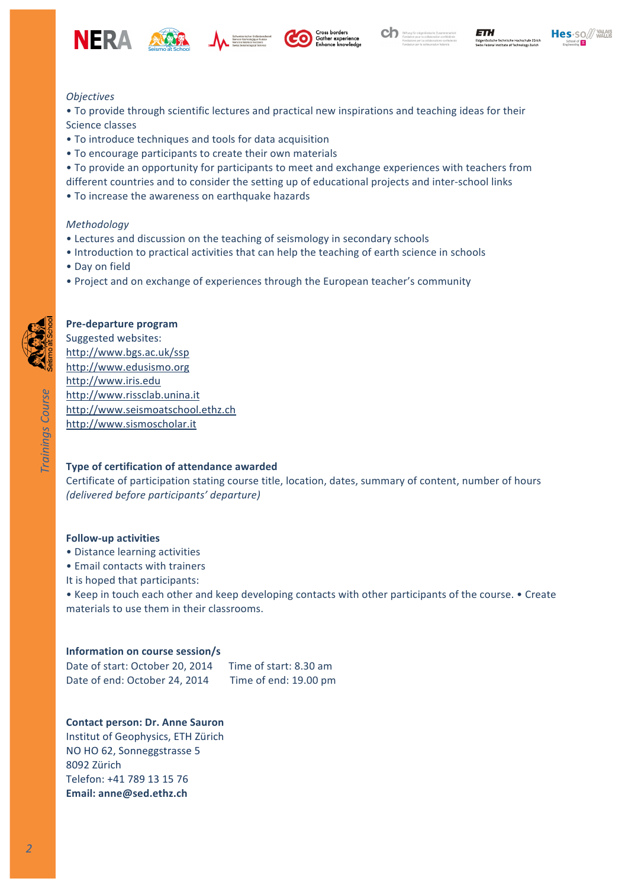











## *Objectives*

• To provide through scientific lectures and practical new inspirations and teaching ideas for their Science classes

- To introduce techniques and tools for data acquisition
- To encourage participants to create their own materials
- To provide an opportunity for participants to meet and exchange experiences with teachers from
- different countries and to consider the setting up of educational projects and inter-school links
- To increase the awareness on earthquake hazards

## *Methodology*

- Lectures and discussion on the teaching of seismology in secondary schools
- Introduction to practical activities that can help the teaching of earth science in schools
- Day on field
- Project and on exchange of experiences through the European teacher's community

## **Pre-departure program**

Suggested websites: http://www.bgs.ac.uk/ssp http://www.edusismo.org http://www.iris.edu http://www.rissclab.unina.it http://www.seismoatschool.ethz.ch http://www.sismoscholar.it 

# **Type of certification of attendance awarded**

Certificate of participation stating course title, location, dates, summary of content, number of hours *(delivered before participants' departure)*

## **Follow-up activities**

- Distance learning activities
- Email contacts with trainers
- It is hoped that participants:

• Keep in touch each other and keep developing contacts with other participants of the course. • Create materials to use them in their classrooms.

## **Information on course session/s**

Date of start: October 20, 2014 Time of start: 8.30 am Date of end: October 24, 2014 Time of end: 19.00 pm

# **Contact person: Dr. Anne Sauron**

Institut of Geophysics, ETH Zürich NO HO 62, Sonneggstrasse 5 8092 Zürich Telefon: +41 789 13 15 76 **Email: anne@sed.ethz.ch**

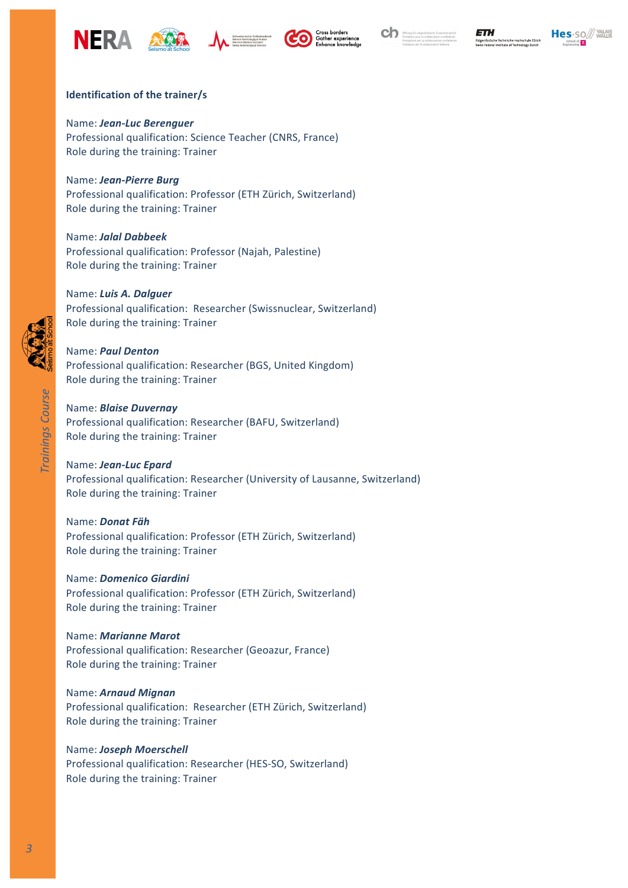











## **Identification of the trainer/s**

Name: *Jean-Luc Berenguer* Professional qualification: Science Teacher (CNRS, France) Role during the training: Trainer

Name: *Jean-Pierre Burg* Professional qualification: Professor (ETH Zürich, Switzerland) Role during the training: Trainer

Name: *Jalal Dabbeek* Professional qualification: Professor (Najah, Palestine) Role during the training: Trainer

## Name: Luis A. Dalguer

Professional qualification: Researcher (Swissnuclear, Switzerland) Role during the training: Trainer

## Name: *Paul Denton*

Professional qualification: Researcher (BGS, United Kingdom) Role during the training: Trainer

#### Name: *Blaise Duvernay*

Professional qualification: Researcher (BAFU, Switzerland) Role during the training: Trainer

#### Name: *Jean-Luc Epard*

Professional qualification: Researcher (University of Lausanne, Switzerland) Role during the training: Trainer

Name: *Donat Fäh* Professional qualification: Professor (ETH Zürich, Switzerland) Role during the training: Trainer

#### Name: *Domenico Giardini*

Professional qualification: Professor (ETH Zürich, Switzerland) Role during the training: Trainer

#### Name: *Marianne Marot*

Professional qualification: Researcher (Geoazur, France) Role during the training: Trainer

#### Name: *Arnaud Mignan*

Professional qualification: Researcher (ETH Zürich, Switzerland) Role during the training: Trainer

#### Name: **Joseph Moerschell**

Professional qualification: Researcher (HES-SO, Switzerland) Role during the training: Trainer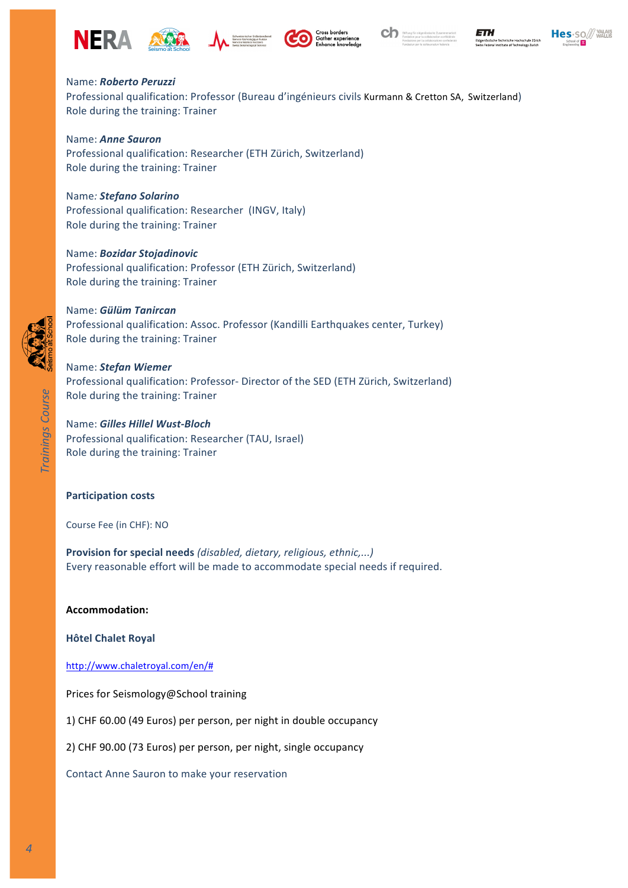











# Name: *Roberto Peruzzi*

Professional qualification: Professor (Bureau d'ingénieurs civils Kurmann & Cretton SA, Switzerland) Role during the training: Trainer

Name: *Anne Sauron* Professional qualification: Researcher (ETH Zürich, Switzerland) Role during the training: Trainer

Name*: Stefano Solarino*

Professional qualification: Researcher (INGV, Italy) Role during the training: Trainer

Name: *Bozidar Stojadinovic* Professional qualification: Professor (ETH Zürich, Switzerland) Role during the training: Trainer

Name: *Gülüm Tanircan* Professional qualification: Assoc. Professor (Kandilli Earthquakes center, Turkey) Role during the training: Trainer

Name: *Stefan Wiemer* Professional qualification: Professor- Director of the SED (ETH Zürich, Switzerland) Role during the training: Trainer

Name: *Gilles Hillel Wust-Bloch* Professional qualification: Researcher (TAU, Israel) Role during the training: Trainer

## **Participation costs**

Course Fee (in CHF): NO

**Provision for special needs** (disabled, dietary, religious, ethnic,...) Every reasonable effort will be made to accommodate special needs if required.

**Accommodation:**

**Hôtel Chalet Royal** 

http://www.chaletroyal.com/en/#

Prices for Seismology@School training

1) CHF 60.00 (49 Euros) per person, per night in double occupancy

2) CHF 90.00 (73 Euros) per person, per night, single occupancy

Contact Anne Sauron to make your reservation